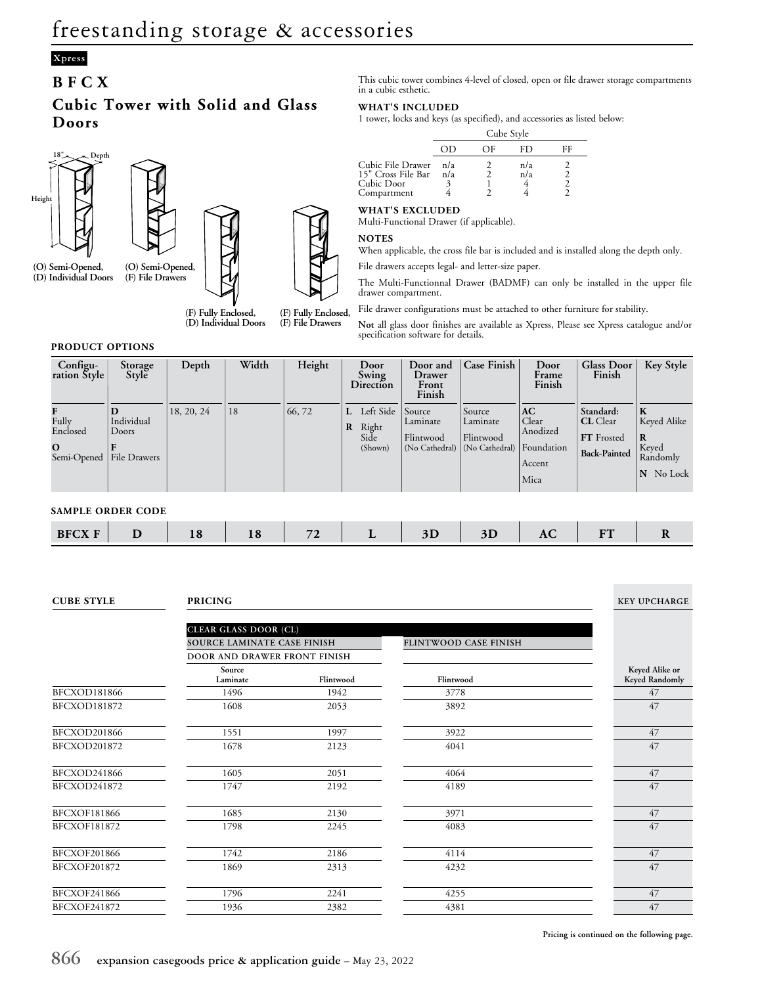## **Xpress**

### **BFCX**

### **Cubic Tower with Solid and Glass Doors**



**(D) Individual Doors**



**(F) Fully Enclosed,**

**(D) Individual Doors (F) Fully Enclosed, (F) File Drawers**

This cubic tower combines 4-level of closed, open or file drawer storage compartments in a cubic esthetic.

#### **WHAT'S INCLUDED**

1 tower, locks and keys (as specified), and accessories as listed below:

|                                                                      | Cube Style |    |            |  |  |
|----------------------------------------------------------------------|------------|----|------------|--|--|
|                                                                      |            | OF | FD.        |  |  |
| Cubic File Drawer<br>15" Cross File Bar<br>Cubic Door<br>Compartment | n/a<br>n/a |    | n/a<br>n/a |  |  |

### **WHAT'S EXCLUDED**

Multi-Functional Drawer (if applicable).

#### **NOTES**

When applicable, the cross file bar is included and is installed along the depth only.

File drawers accepts legal- and letter-size paper.

The Multi-Functionnal Drawer (BADMF) can only be installed in the upper file drawer compartment.

File drawer configurations must be attached to other furniture for stability.

**Not** all glass door finishes are available as Xpress, Please see Xpress catalogue and/or specification software for details.

#### **PRODUCT OPTIONS**

| Configu-<br>ration Style                                         | Storage<br>Style                         | Depth      | Width | Height |   | Door<br>Swing<br>Direction              | Door and<br>Drawer<br>Front<br>Finish             | <b>Case Finish</b>                                | Door<br>Frame<br>Finish                                 | <b>Glass Door</b><br>Finish                                              | <b>Key Style</b>                                              |
|------------------------------------------------------------------|------------------------------------------|------------|-------|--------|---|-----------------------------------------|---------------------------------------------------|---------------------------------------------------|---------------------------------------------------------|--------------------------------------------------------------------------|---------------------------------------------------------------|
| $\mathbf{F}$<br>Fully<br>Enclosed<br>$\mathbf{O}$<br>Semi-Opened | D<br>Individual<br>Doors<br>File Drawers | 18, 20, 24 | 18    | 66,72  | R | L Left Side<br>Right<br>Side<br>(Shown) | Source<br>Laminate<br>Flintwood<br>(No Cathedral) | Source<br>Laminate<br>Flintwood<br>(No Cathedral) | AC<br>Clear<br>Anodized<br>Foundation<br>Accent<br>Mica | Standard:<br><b>CL</b> Clear<br><b>FT</b> Frosted<br><b>Back-Painted</b> | $\bf K$<br>Keyed Alike<br>R<br>Keyed<br>Randomly<br>N No Lock |
| <b>SAMPLE ORDER CODE</b>                                         |                                          |            |       |        |   |                                         |                                                   |                                                   |                                                         |                                                                          |                                                               |
| <b>BFCX F</b>                                                    | D                                        | 18         | 18    | 72     |   | L                                       | 3D                                                | 3D                                                | AC                                                      | <b>FT</b>                                                                | R                                                             |

**CUBE STYLE PRICING KEY UPCHARGE**

|                     | <b>CLEAR GLASS DOOR (CL)</b><br>SOURCE LAMINATE CASE FINISH |           | FLINTWOOD CASE FINISH |                                  |
|---------------------|-------------------------------------------------------------|-----------|-----------------------|----------------------------------|
|                     | DOOR AND DRAWER FRONT FINISH                                |           |                       |                                  |
|                     | Source<br>Laminate                                          | Flintwood | Flintwood             | Keyed Alike or<br>Keyed Randomly |
| <b>BFCXOD181866</b> | 1496                                                        | 1942      | 3778                  | 47                               |
| BFCXOD181872        | 1608                                                        | 2053      | 3892                  | 47                               |
| BFCXOD201866        | 1551                                                        | 1997      | 3922                  | 47                               |
| BFCXOD201872        | 1678                                                        | 2123      | 4041                  | 47                               |
| BFCXOD241866        | 1605                                                        | 2051      | 4064                  | 47                               |
| BFCXOD241872        | 1747                                                        | 2192      | 4189                  | 47                               |
| <b>BFCXOF181866</b> | 1685                                                        | 2130      | 3971                  | 47                               |
| <b>BFCXOF181872</b> | 1798                                                        | 2245      | 4083                  | 47                               |
| <b>BFCXOF201866</b> | 1742                                                        | 2186      | 4114                  | 47                               |
| <b>BFCXOF201872</b> | 1869                                                        | 2313      | 4232                  | 47                               |
| <b>BFCXOF241866</b> | 1796                                                        | 2241      | 4255                  | 47                               |
| <b>BFCXOF241872</b> | 1936                                                        | 2382      | 4381                  | 47                               |

**Pricing is continued on the following page.**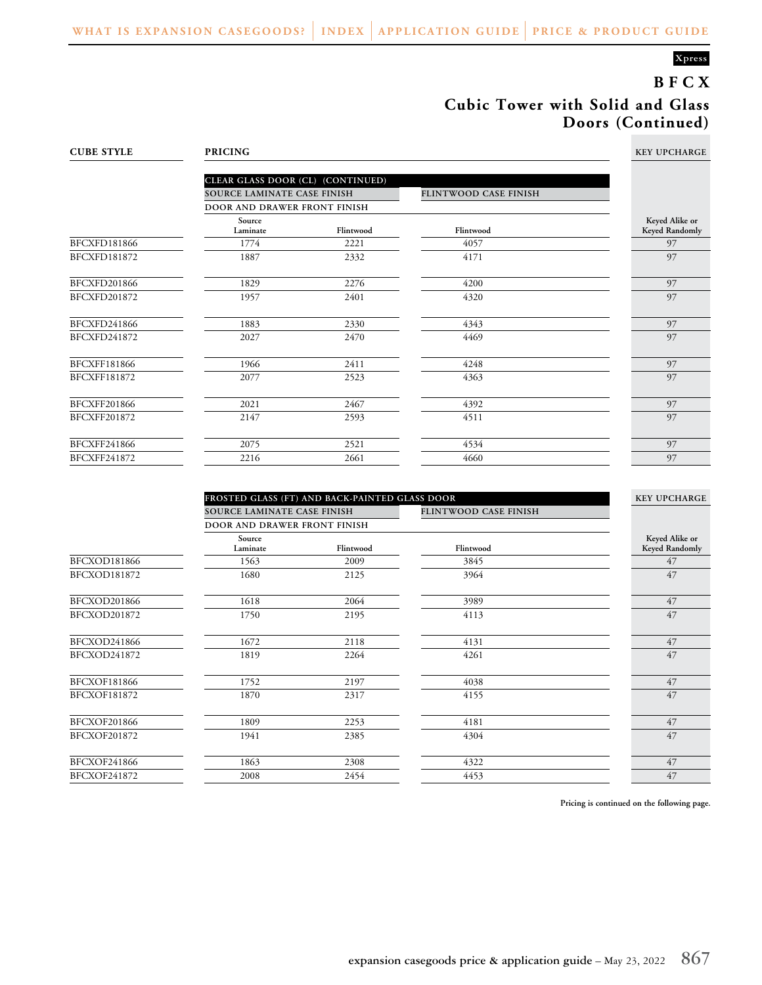### **Xpress**

# **BFCX Cubic Tower with Solid and Glass Doors (Continued)**

| <b>CUBE STYLE</b>   | <b>PRICING</b>                    |           |                       |                                  |  |  |  |
|---------------------|-----------------------------------|-----------|-----------------------|----------------------------------|--|--|--|
|                     | CLEAR GLASS DOOR (CL) (CONTINUED) |           |                       |                                  |  |  |  |
|                     | SOURCE LAMINATE CASE FINISH       |           | FLINTWOOD CASE FINISH |                                  |  |  |  |
|                     | DOOR AND DRAWER FRONT FINISH      |           |                       |                                  |  |  |  |
|                     | Source<br>Laminate                | Flintwood | Flintwood             | Keyed Alike or<br>Keyed Randomly |  |  |  |
| BFCXFD181866        | 1774                              | 2221      | 4057                  | 97                               |  |  |  |
| BFCXFD181872        | 1887                              | 2332      | 4171                  | 97                               |  |  |  |
| BFCXFD201866        | 1829                              | 2276      | 4200                  | 97                               |  |  |  |
| BFCXFD201872        | 1957                              | 2401      | 4320                  | 97                               |  |  |  |
| BFCXFD241866        | 1883                              | 2330      | 4343                  | 97                               |  |  |  |
| BFCXFD241872        | 2027                              | 2470      | 4469                  | 97                               |  |  |  |
| BFCXFF181866        | 1966                              | 2411      | 4248                  | 97                               |  |  |  |
| BFCXFF181872        | 2077                              | 2523      | 4363                  | 97                               |  |  |  |
| <b>BFCXFF201866</b> | 2021                              | 2467      | 4392                  | 97                               |  |  |  |
| BFCXFF201872        | 2147                              | 2593      | 4511                  | 97                               |  |  |  |
| BFCXFF241866        | 2075                              | 2521      | 4534                  | 97                               |  |  |  |
| BFCXFF241872        | 2216                              | 2661      | 4660                  | 97                               |  |  |  |

|                     | FROSTED GLASS (FT) AND BACK-PAINTED GLASS DOOR |           |                       |                                  |  |
|---------------------|------------------------------------------------|-----------|-----------------------|----------------------------------|--|
|                     | SOURCE LAMINATE CASE FINISH                    |           | FLINTWOOD CASE FINISH |                                  |  |
|                     | DOOR AND DRAWER FRONT FINISH                   |           |                       |                                  |  |
|                     | Source<br>Laminate                             | Flintwood | Flintwood             | Keyed Alike or<br>Keyed Randomly |  |
| BFCXOD181866        | 1563                                           | 2009      | 3845                  | 47                               |  |
| BFCXOD181872        | 1680                                           | 2125      | 3964                  | 47                               |  |
| BFCXOD201866        | 1618                                           | 2064      | 3989                  | 47                               |  |
| BFCXOD201872        | 1750                                           | 2195      | 4113                  | 47                               |  |
| BFCXOD241866        | 1672                                           | 2118      | 4131                  | 47                               |  |
| BFCXOD241872        | 1819                                           | 2264      | 4261                  | 47                               |  |
| BFCXOF181866        | 1752                                           | 2197      | 4038                  | 47                               |  |
| BFCXOF181872        | 1870                                           | 2317      | 4155                  | 47                               |  |
| <b>BFCXOF201866</b> | 1809                                           | 2253      | 4181                  | 47                               |  |
| BFCXOF201872        | 1941                                           | 2385      | 4304                  | 47                               |  |
| <b>BFCXOF241866</b> | 1863                                           | 2308      | 4322                  | 47                               |  |
| BFCXOF241872        | 2008                                           | 2454      | 4453                  | 47                               |  |

**Pricing is continued on the following page.**